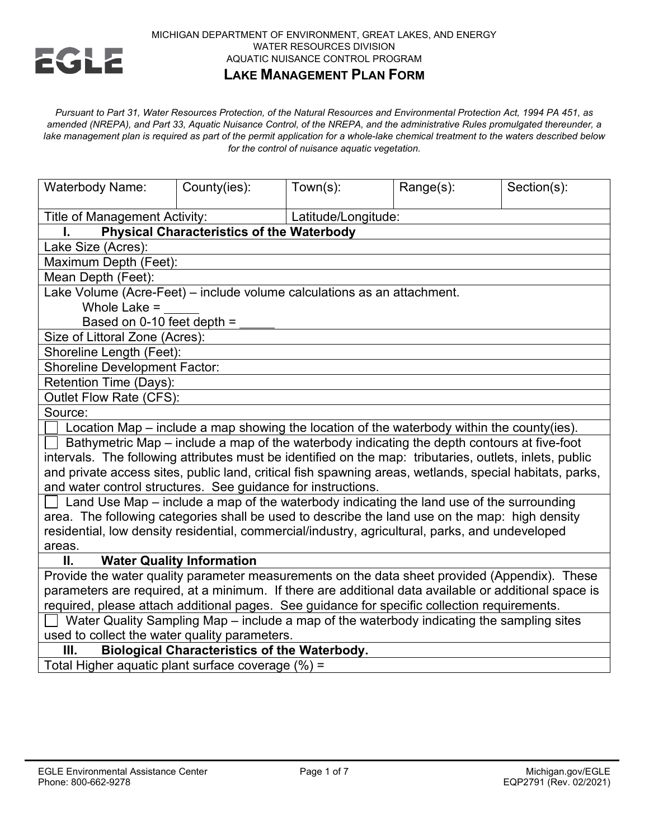

### MICHIGAN DEPARTMENT OF ENVIRONMENT, GREAT LAKES, AND ENERGY WATER RESOURCES DIVISION AQUATIC NUISANCE CONTROL PROGRAM **LAKE MANAGEMENT PLAN FORM**

*Pursuant to Part 31, Water Resources Protection, of the Natural Resources and Environmental Protection Act, 1994 PA 451, as amended (NREPA), and Part 33, Aquatic Nuisance Control, of the NREPA, and the administrative Rules promulgated thereunder, a lake management plan is required as part of the permit application for a whole-lake chemical treatment to the waters described below for the control of nuisance aquatic vegetation.*

| Title of Management Activity:<br>Latitude/Longitude:                                                     |  |  |  |  |  |  |
|----------------------------------------------------------------------------------------------------------|--|--|--|--|--|--|
|                                                                                                          |  |  |  |  |  |  |
| <b>Physical Characteristics of the Waterbody</b><br>ı.                                                   |  |  |  |  |  |  |
| Lake Size (Acres):                                                                                       |  |  |  |  |  |  |
| Maximum Depth (Feet):                                                                                    |  |  |  |  |  |  |
| Mean Depth (Feet):                                                                                       |  |  |  |  |  |  |
| Lake Volume (Acre-Feet) - include volume calculations as an attachment.                                  |  |  |  |  |  |  |
| Whole Lake $=$                                                                                           |  |  |  |  |  |  |
| Based on 0-10 feet depth =                                                                               |  |  |  |  |  |  |
| Size of Littoral Zone (Acres):                                                                           |  |  |  |  |  |  |
| Shoreline Length (Feet):                                                                                 |  |  |  |  |  |  |
| <b>Shoreline Development Factor:</b>                                                                     |  |  |  |  |  |  |
| Retention Time (Days):                                                                                   |  |  |  |  |  |  |
| Outlet Flow Rate (CFS):                                                                                  |  |  |  |  |  |  |
| Source:                                                                                                  |  |  |  |  |  |  |
| Location Map – include a map showing the location of the waterbody within the county(ies).               |  |  |  |  |  |  |
| Bathymetric Map – include a map of the waterbody indicating the depth contours at five-foot              |  |  |  |  |  |  |
| intervals. The following attributes must be identified on the map: tributaries, outlets, inlets, public  |  |  |  |  |  |  |
| and private access sites, public land, critical fish spawning areas, wetlands, special habitats, parks,  |  |  |  |  |  |  |
| and water control structures. See guidance for instructions.                                             |  |  |  |  |  |  |
| $\Box$ Land Use Map – include a map of the waterbody indicating the land use of the surrounding          |  |  |  |  |  |  |
| area. The following categories shall be used to describe the land use on the map: high density           |  |  |  |  |  |  |
| residential, low density residential, commercial/industry, agricultural, parks, and undeveloped          |  |  |  |  |  |  |
| areas.                                                                                                   |  |  |  |  |  |  |
| <b>Water Quality Information</b><br>П.                                                                   |  |  |  |  |  |  |
| Provide the water quality parameter measurements on the data sheet provided (Appendix). These            |  |  |  |  |  |  |
| parameters are required, at a minimum. If there are additional data available or additional space is     |  |  |  |  |  |  |
| required, please attach additional pages. See guidance for specific collection requirements.             |  |  |  |  |  |  |
| Water Quality Sampling Map – include a map of the waterbody indicating the sampling sites                |  |  |  |  |  |  |
| used to collect the water quality parameters.<br>Ш.                                                      |  |  |  |  |  |  |
| <b>Biological Characteristics of the Waterbody.</b><br>Total Higher aquatic plant surface coverage (%) = |  |  |  |  |  |  |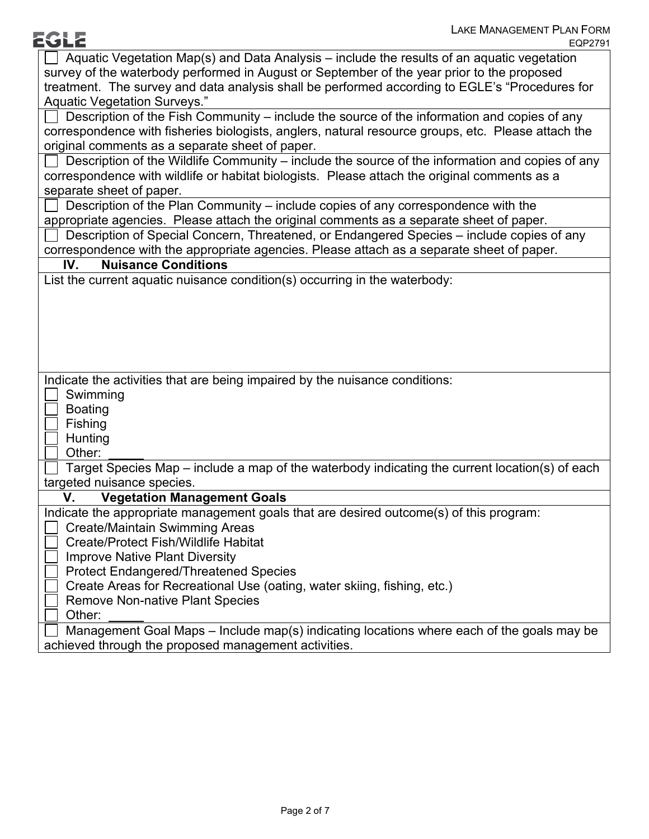| <b>EGLE</b>                                          | <b>LAKE MANAGEMENT PLAN FORM</b>                                                                   |
|------------------------------------------------------|----------------------------------------------------------------------------------------------------|
|                                                      | EQP2791                                                                                            |
|                                                      | Aquatic Vegetation Map(s) and Data Analysis – include the results of an aquatic vegetation         |
|                                                      | survey of the waterbody performed in August or September of the year prior to the proposed         |
|                                                      | treatment. The survey and data analysis shall be performed according to EGLE's "Procedures for     |
| Aquatic Vegetation Surveys."                         |                                                                                                    |
|                                                      | Description of the Fish Community – include the source of the information and copies of any        |
|                                                      | correspondence with fisheries biologists, anglers, natural resource groups, etc. Please attach the |
| original comments as a separate sheet of paper.      |                                                                                                    |
|                                                      | Description of the Wildlife Community – include the source of the information and copies of any    |
|                                                      | correspondence with wildlife or habitat biologists. Please attach the original comments as a       |
| separate sheet of paper.                             |                                                                                                    |
|                                                      | Description of the Plan Community – include copies of any correspondence with the                  |
|                                                      | appropriate agencies. Please attach the original comments as a separate sheet of paper.            |
|                                                      | Description of Special Concern, Threatened, or Endangered Species - include copies of any          |
|                                                      | correspondence with the appropriate agencies. Please attach as a separate sheet of paper.          |
| IV.<br><b>Nuisance Conditions</b>                    |                                                                                                    |
|                                                      | List the current aquatic nuisance condition(s) occurring in the waterbody:                         |
|                                                      |                                                                                                    |
|                                                      |                                                                                                    |
|                                                      |                                                                                                    |
|                                                      |                                                                                                    |
|                                                      |                                                                                                    |
|                                                      | Indicate the activities that are being impaired by the nuisance conditions:                        |
| Swimming                                             |                                                                                                    |
|                                                      |                                                                                                    |
| <b>Boating</b>                                       |                                                                                                    |
| Fishing                                              |                                                                                                    |
| Hunting                                              |                                                                                                    |
| Other:                                               |                                                                                                    |
|                                                      | Target Species Map – include a map of the waterbody indicating the current location(s) of each     |
| targeted nuisance species.                           |                                                                                                    |
| V. Vegetation Management Goals                       |                                                                                                    |
|                                                      | Indicate the appropriate management goals that are desired outcome(s) of this program:             |
| Create/Maintain Swimming Areas                       |                                                                                                    |
| <b>Create/Protect Fish/Wildlife Habitat</b>          |                                                                                                    |
| <b>Improve Native Plant Diversity</b>                |                                                                                                    |
| <b>Protect Endangered/Threatened Species</b>         |                                                                                                    |
|                                                      | Create Areas for Recreational Use (oating, water skiing, fishing, etc.)                            |
| <b>Remove Non-native Plant Species</b>               |                                                                                                    |
| Other:                                               |                                                                                                    |
|                                                      | Management Goal Maps - Include map(s) indicating locations where each of the goals may be          |
| achieved through the proposed management activities. |                                                                                                    |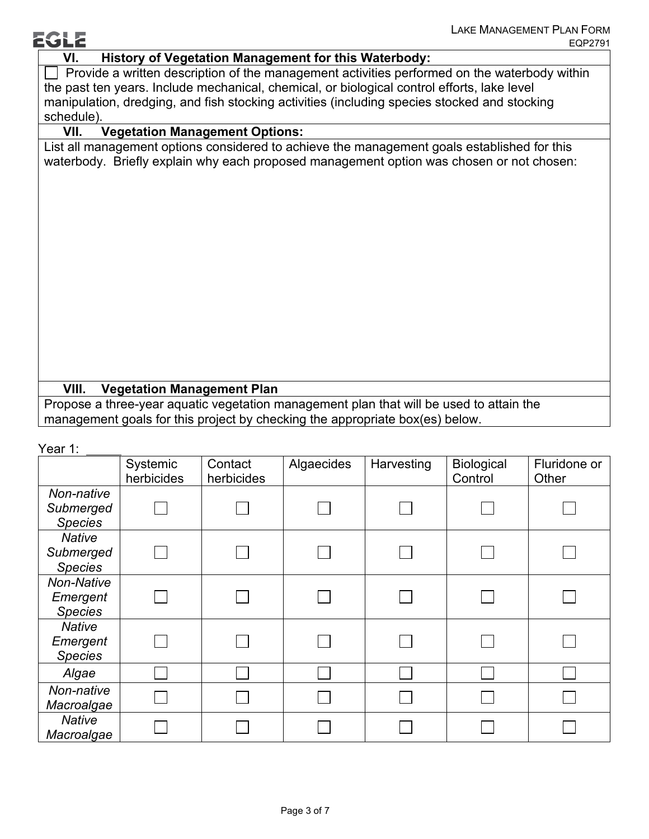# **VI. History of Vegetation Management for this Waterbody:**

 $\Box$  Provide a written description of the management activities performed on the waterbody within the past ten years. Include mechanical, chemical, or biological control efforts, lake level manipulation, dredging, and fish stocking activities (including species stocked and stocking schedule).

## **VII. Vegetation Management Options:**

List all management options considered to achieve the management goals established for this waterbody. Briefly explain why each proposed management option was chosen or not chosen:

## **VIII. Vegetation Management Plan**

Propose a three-year aquatic vegetation management plan that will be used to attain the management goals for this project by checking the appropriate box(es) below.

### Year 1:

**EGLE** 

|                                              | Systemic<br>herbicides | Contact<br>herbicides | Algaecides | Harvesting | Biological<br>Control | Fluridone or<br>Other |
|----------------------------------------------|------------------------|-----------------------|------------|------------|-----------------------|-----------------------|
| Non-native<br>Submerged<br><b>Species</b>    |                        |                       |            |            |                       |                       |
| <b>Native</b><br>Submerged<br><b>Species</b> |                        |                       |            |            |                       |                       |
| Non-Native<br>Emergent<br><b>Species</b>     |                        |                       |            |            |                       |                       |
| <b>Native</b><br>Emergent<br><b>Species</b>  |                        |                       |            |            |                       |                       |
| Algae                                        |                        |                       |            |            |                       |                       |
| Non-native<br>Macroalgae                     |                        |                       |            |            |                       |                       |
| <b>Native</b><br>Macroalgae                  |                        |                       |            |            |                       |                       |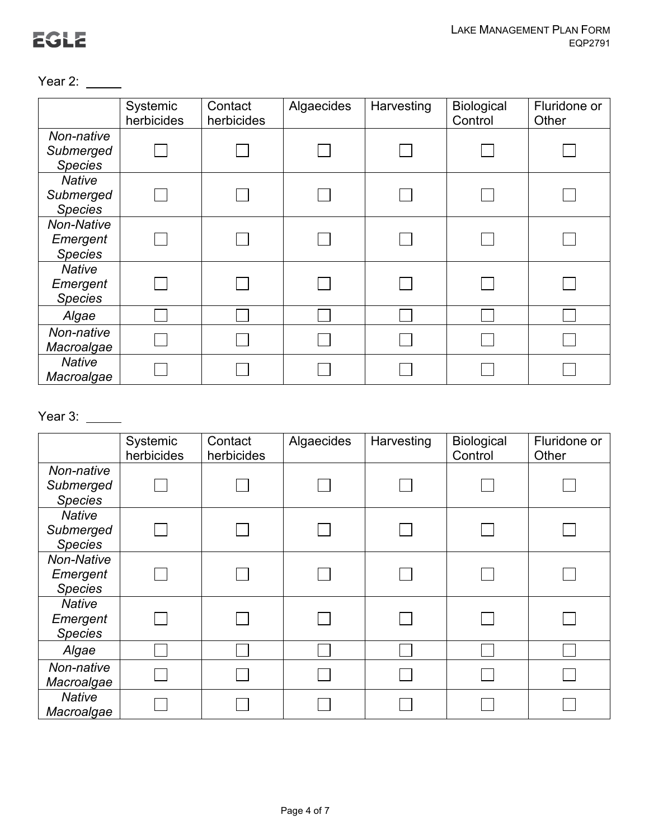Year 2: \_\_\_\_\_

|                                                 | Systemic<br>herbicides | Contact<br>herbicides | Algaecides | Harvesting | Biological<br>Control | Fluridone or<br>Other |
|-------------------------------------------------|------------------------|-----------------------|------------|------------|-----------------------|-----------------------|
| Non-native<br>Submerged<br><b>Species</b>       |                        |                       |            |            |                       |                       |
| <b>Native</b><br>Submerged<br><b>Species</b>    |                        |                       |            |            |                       |                       |
| <b>Non-Native</b><br>Emergent<br><b>Species</b> |                        |                       |            |            |                       |                       |
| <b>Native</b><br>Emergent<br><b>Species</b>     |                        |                       |            |            |                       |                       |
| Algae                                           |                        |                       |            |            |                       |                       |
| Non-native<br>Macroalgae                        |                        |                       |            |            |                       |                       |
| <b>Native</b><br>Macroalgae                     |                        |                       |            |            |                       |                       |

# Year 3: \_\_\_\_\_

|                                                 | Systemic<br>herbicides | Contact<br>herbicides | Algaecides | Harvesting | <b>Biological</b><br>Control | Fluridone or<br>Other |
|-------------------------------------------------|------------------------|-----------------------|------------|------------|------------------------------|-----------------------|
| Non-native<br>Submerged<br><b>Species</b>       |                        |                       |            |            |                              |                       |
| <b>Native</b><br>Submerged<br><b>Species</b>    |                        |                       |            |            |                              |                       |
| <b>Non-Native</b><br>Emergent<br><b>Species</b> |                        |                       |            |            |                              |                       |
| <b>Native</b><br>Emergent<br><b>Species</b>     |                        |                       |            |            |                              |                       |
| Algae                                           |                        |                       |            |            |                              |                       |
| Non-native<br>Macroalgae                        |                        |                       |            |            |                              |                       |
| <b>Native</b><br>Macroalgae                     |                        |                       |            |            |                              |                       |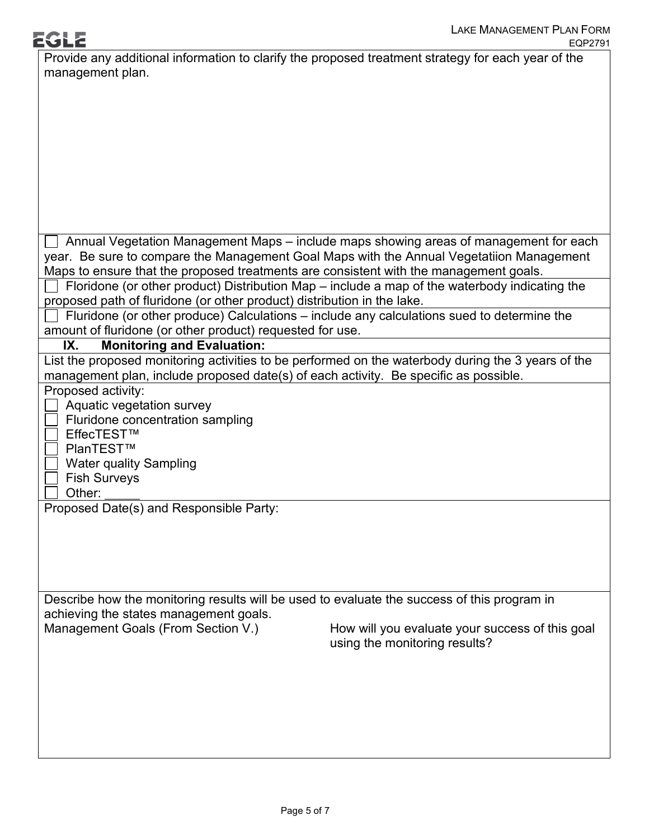| Provide any additional information to clarify the proposed treatment strategy for each year of the |
|----------------------------------------------------------------------------------------------------|
| management plan.                                                                                   |
|                                                                                                    |
|                                                                                                    |
|                                                                                                    |
|                                                                                                    |
|                                                                                                    |
|                                                                                                    |
|                                                                                                    |
|                                                                                                    |
|                                                                                                    |
|                                                                                                    |
| Annual Vegetation Management Maps - include maps showing areas of management for each              |
| year. Be sure to compare the Management Goal Maps with the Annual Vegetatiion Management           |
| Maps to ensure that the proposed treatments are consistent with the management goals.              |
| Floridone (or other product) Distribution Map – include a map of the waterbody indicating the      |
| proposed path of fluridone (or other product) distribution in the lake.                            |
| Fluridone (or other produce) Calculations - include any calculations sued to determine the         |
| amount of fluridone (or other product) requested for use.                                          |
| <b>Monitoring and Evaluation:</b><br>IX.                                                           |
| List the proposed monitoring activities to be performed on the waterbody during the 3 years of the |
| management plan, include proposed date(s) of each activity. Be specific as possible.               |
| Proposed activity:                                                                                 |
| Aquatic vegetation survey                                                                          |
| Fluridone concentration sampling                                                                   |
| EffecTEST™                                                                                         |
| PlanTEST™                                                                                          |
| <b>Water quality Sampling</b>                                                                      |
| <b>Fish Surveys</b>                                                                                |
| Other:                                                                                             |
| Proposed Date(s) and Responsible Party:                                                            |
|                                                                                                    |
|                                                                                                    |
|                                                                                                    |
|                                                                                                    |
|                                                                                                    |
| Describe how the monitoring results will be used to evaluate the success of this program in        |
| achieving the states management goals.                                                             |
| Management Goals (From Section V.)<br>How will you evaluate your success of this goal              |
| using the monitoring results?                                                                      |
|                                                                                                    |
|                                                                                                    |
|                                                                                                    |
|                                                                                                    |
|                                                                                                    |
|                                                                                                    |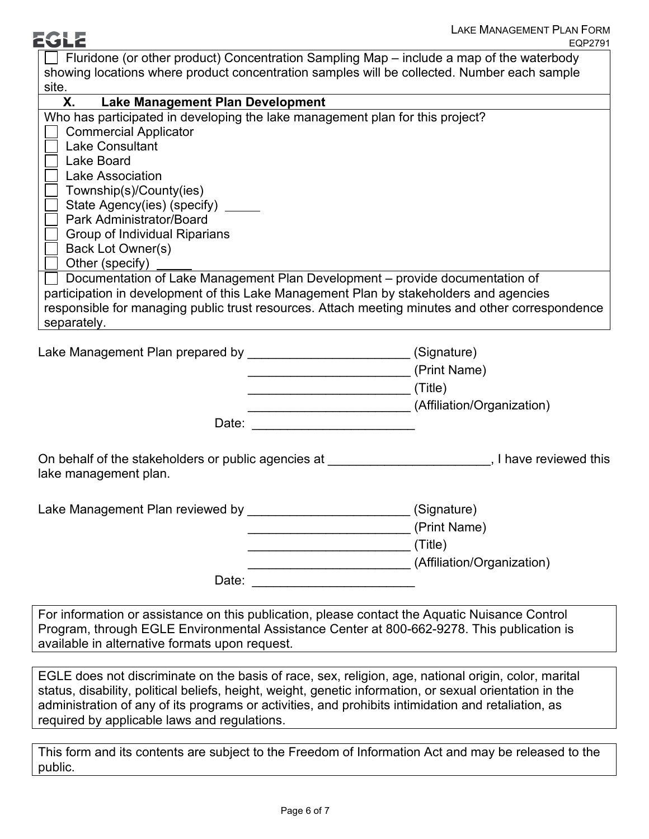| 2GLZ                                                                                                                                                                                                                                                                   | <b>LAKE MANAGEMENT PLAN FORM</b><br>EQP2791                                                                                                                                                                                                                                                                                                                 |
|------------------------------------------------------------------------------------------------------------------------------------------------------------------------------------------------------------------------------------------------------------------------|-------------------------------------------------------------------------------------------------------------------------------------------------------------------------------------------------------------------------------------------------------------------------------------------------------------------------------------------------------------|
| site.                                                                                                                                                                                                                                                                  | $\Box$ Fluridone (or other product) Concentration Sampling Map – include a map of the waterbody<br>showing locations where product concentration samples will be collected. Number each sample                                                                                                                                                              |
| <b>Lake Management Plan Development</b><br>Х.                                                                                                                                                                                                                          |                                                                                                                                                                                                                                                                                                                                                             |
| <b>Commercial Applicator</b><br><b>Lake Consultant</b><br>Lake Board<br>Lake Association<br>Township(s)/County(ies)<br>State Agency(ies) (specify)<br>Park Administrator/Board<br>Group of Individual Riparians<br>Back Lot Owner(s)<br>Other (specify)<br>separately. | Who has participated in developing the lake management plan for this project?<br>Documentation of Lake Management Plan Development - provide documentation of<br>participation in development of this Lake Management Plan by stakeholders and agencies<br>responsible for managing public trust resources. Attach meeting minutes and other correspondence |
|                                                                                                                                                                                                                                                                        | Lake Management Plan prepared by ___________________________(Signature)<br>(Print Name)                                                                                                                                                                                                                                                                     |
|                                                                                                                                                                                                                                                                        | ___________________________(Affiliation/Organization)                                                                                                                                                                                                                                                                                                       |
| lake management plan.                                                                                                                                                                                                                                                  | On behalf of the stakeholders or public agencies at the state of the state of this position of the stakeholders or public agencies at                                                                                                                                                                                                                       |
|                                                                                                                                                                                                                                                                        | Lake Management Plan reviewed by ___________________________(Signature)<br>(Print Name)<br>(Title)<br>(Affiliation/Organization)                                                                                                                                                                                                                            |
|                                                                                                                                                                                                                                                                        | Date: the contract of the contract of the contract of the contract of the contract of the contract of the contract of the contract of the contract of the contract of the contract of the contract of the contract of the cont                                                                                                                              |
| available in alternative formats upon request.                                                                                                                                                                                                                         | For information or assistance on this publication, please contact the Aquatic Nuisance Control<br>Program, through EGLE Environmental Assistance Center at 800-662-9278. This publication is                                                                                                                                                                |
|                                                                                                                                                                                                                                                                        |                                                                                                                                                                                                                                                                                                                                                             |
| required by applicable laws and regulations.                                                                                                                                                                                                                           | EGLE does not discriminate on the basis of race, sex, religion, age, national origin, color, marital<br>status, disability, political beliefs, height, weight, genetic information, or sexual orientation in the<br>administration of any of its programs or activities, and prohibits intimidation and retaliation, as                                     |
|                                                                                                                                                                                                                                                                        |                                                                                                                                                                                                                                                                                                                                                             |
| public.                                                                                                                                                                                                                                                                | This form and its contents are subject to the Freedom of Information Act and may be released to the                                                                                                                                                                                                                                                         |